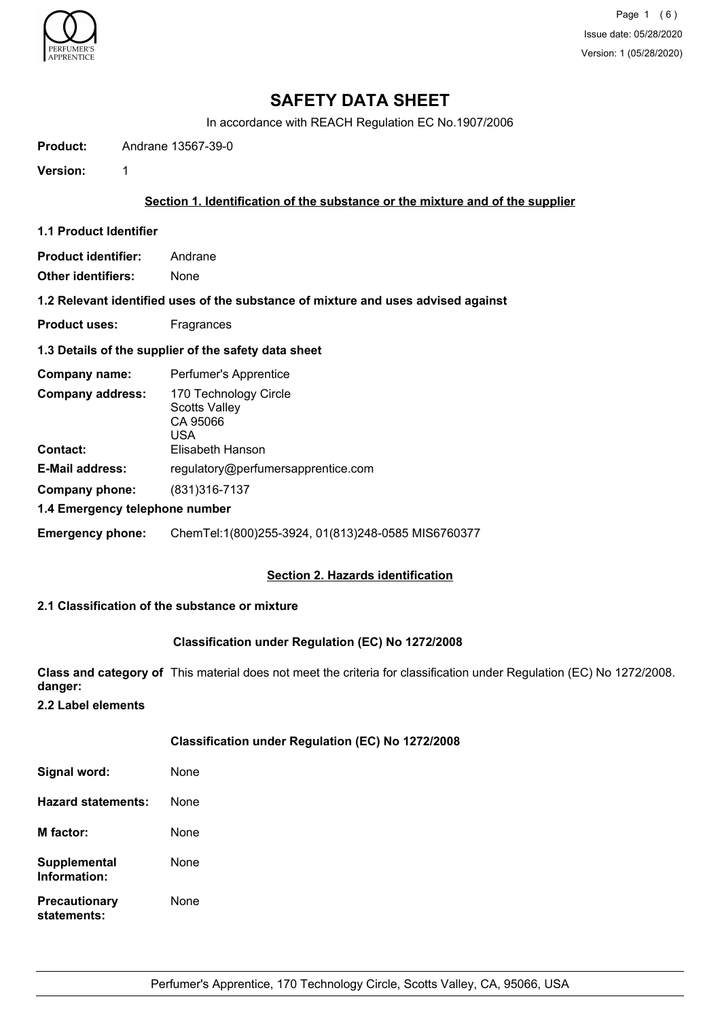

Page 1 (6) Issue date: 05/28/2020 Version: 1 (05/28/2020)

## **SAFETY DATA SHEET**

In accordance with REACH Regulation EC No.1907/2006

**Product:** Andrane 13567-39-0

**Version:** 1

### **Section 1. Identification of the substance or the mixture and of the supplier**

**1.1 Product Identifier**

| <b>Product identifier:</b> | Andrane |
|----------------------------|---------|
|----------------------------|---------|

**Other identifiers:** None

**1.2 Relevant identified uses of the substance of mixture and uses advised against**

**Product uses:** Fragrances

## **1.3 Details of the supplier of the safety data sheet**

| Company name:                  | Perfumer's Apprentice                                            |
|--------------------------------|------------------------------------------------------------------|
| <b>Company address:</b>        | 170 Technology Circle<br><b>Scotts Valley</b><br>CA 95066<br>USA |
| <b>Contact:</b>                | Elisabeth Hanson                                                 |
| <b>E-Mail address:</b>         | regulatory@perfumersapprentice.com                               |
| Company phone:                 | (831) 316-7137                                                   |
| 1.4 Emergency telephone number |                                                                  |
| <b>Emergency phone:</b>        | ChemTel:1(800)255-3924, 01(813)248-0585 MIS6760377               |

## **Section 2. Hazards identification**

## **2.1 Classification of the substance or mixture**

## **Classification under Regulation (EC) No 1272/2008**

**Class and category of** This material does not meet the criteria for classification under Regulation (EC) No 1272/2008. **danger:**

**2.2 Label elements**

|                                     | Classification under Regulation (EC) No 1272/2008 |
|-------------------------------------|---------------------------------------------------|
| Signal word:                        | None                                              |
| <b>Hazard statements:</b>           | None                                              |
| M factor:                           | None                                              |
| Supplemental<br>Information:        | None                                              |
| <b>Precautionary</b><br>statements: | None                                              |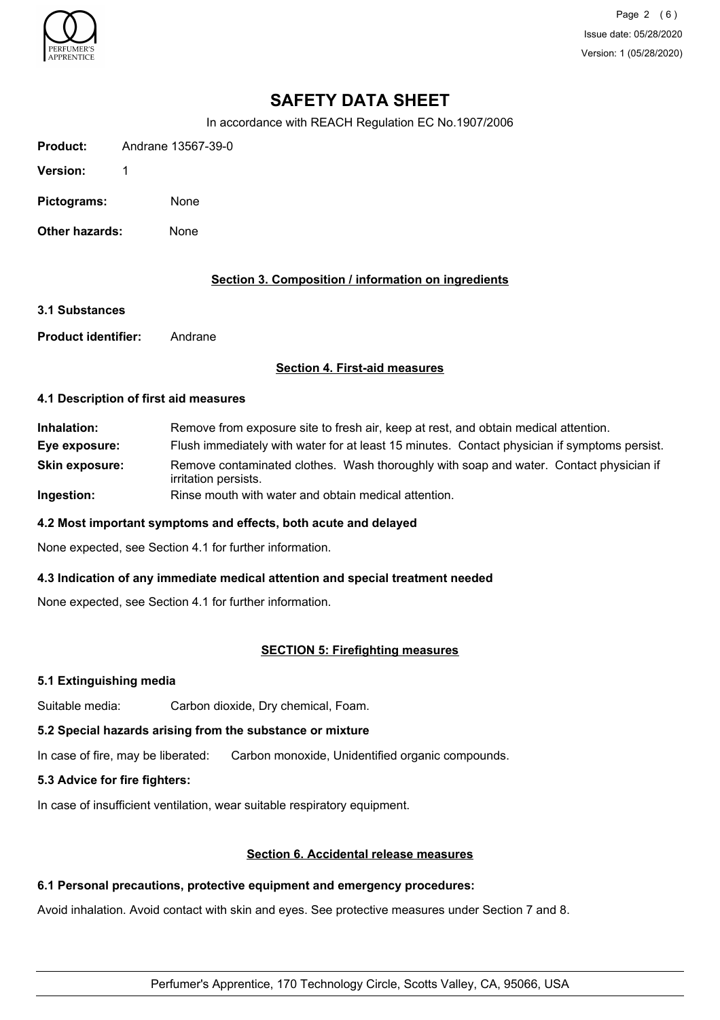

Page 2 (6) Issue date: 05/28/2020 Version: 1 (05/28/2020)

# **SAFETY DATA SHEET**

In accordance with REACH Regulation EC No.1907/2006

**Version:** 1

**Pictograms:** None

**Other hazards:** None

## **Section 3. Composition / information on ingredients**

**3.1 Substances**

**Product identifier:** Andrane

## **Section 4. First-aid measures**

#### **4.1 Description of first aid measures**

**Inhalation:** Remove from exposure site to fresh air, keep at rest, and obtain medical attention. **Eye exposure:** Flush immediately with water for at least 15 minutes. Contact physician if symptoms persist. Remove contaminated clothes. Wash thoroughly with soap and water. Contact physician if irritation persists. **Skin exposure: Ingestion:** Rinse mouth with water and obtain medical attention.

## **4.2 Most important symptoms and effects, both acute and delayed**

None expected, see Section 4.1 for further information.

## **4.3 Indication of any immediate medical attention and special treatment needed**

None expected, see Section 4.1 for further information.

## **SECTION 5: Firefighting measures**

## **5.1 Extinguishing media**

Suitable media: Carbon dioxide, Dry chemical, Foam.

## **5.2 Special hazards arising from the substance or mixture**

In case of fire, may be liberated: Carbon monoxide, Unidentified organic compounds.

## **5.3 Advice for fire fighters:**

In case of insufficient ventilation, wear suitable respiratory equipment.

## **Section 6. Accidental release measures**

## **6.1 Personal precautions, protective equipment and emergency procedures:**

Avoid inhalation. Avoid contact with skin and eyes. See protective measures under Section 7 and 8.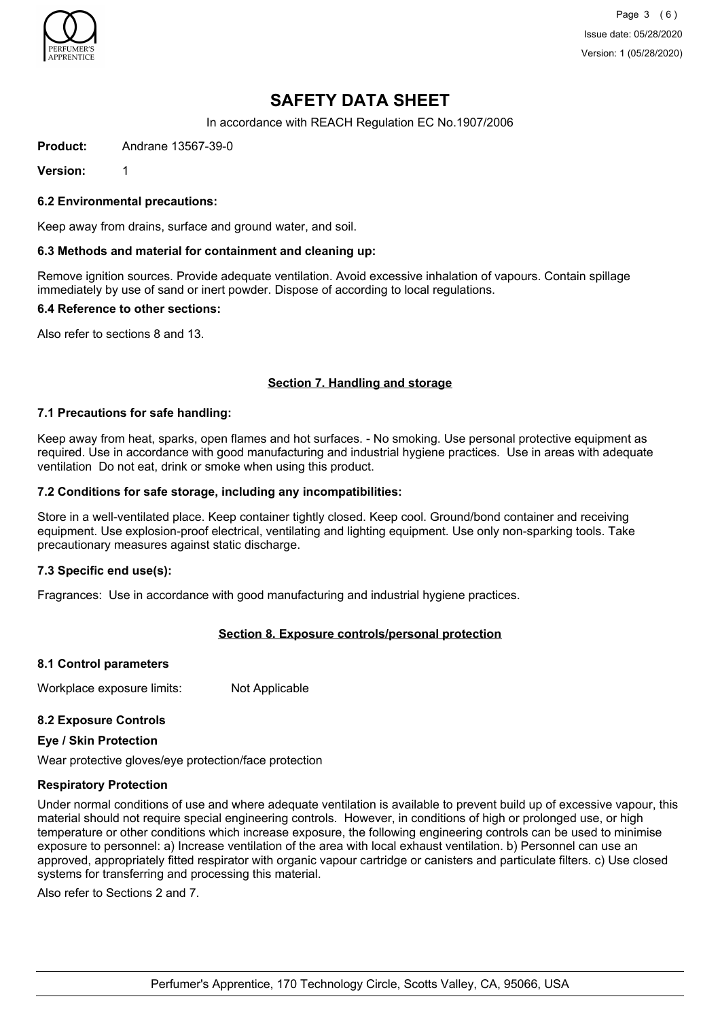

Page 3 (6) Issue date: 05/28/2020 Version: 1 (05/28/2020)

# **SAFETY DATA SHEET**

In accordance with REACH Regulation EC No.1907/2006

**Product:** Andrane 13567-39-0

**Version:** 1

**6.2 Environmental precautions:**

Keep away from drains, surface and ground water, and soil.

#### **6.3 Methods and material for containment and cleaning up:**

Remove ignition sources. Provide adequate ventilation. Avoid excessive inhalation of vapours. Contain spillage immediately by use of sand or inert powder. Dispose of according to local regulations.

#### **6.4 Reference to other sections:**

Also refer to sections 8 and 13.

## **Section 7. Handling and storage**

#### **7.1 Precautions for safe handling:**

Keep away from heat, sparks, open flames and hot surfaces. - No smoking. Use personal protective equipment as required. Use in accordance with good manufacturing and industrial hygiene practices. Use in areas with adequate ventilation Do not eat, drink or smoke when using this product.

#### **7.2 Conditions for safe storage, including any incompatibilities:**

Store in a well-ventilated place. Keep container tightly closed. Keep cool. Ground/bond container and receiving equipment. Use explosion-proof electrical, ventilating and lighting equipment. Use only non-sparking tools. Take precautionary measures against static discharge.

#### **7.3 Specific end use(s):**

Fragrances: Use in accordance with good manufacturing and industrial hygiene practices.

## **Section 8. Exposure controls/personal protection**

#### **8.1 Control parameters**

Workplace exposure limits: Not Applicable

## **8.2 Exposure Controls**

#### **Eye / Skin Protection**

Wear protective gloves/eye protection/face protection

#### **Respiratory Protection**

Under normal conditions of use and where adequate ventilation is available to prevent build up of excessive vapour, this material should not require special engineering controls. However, in conditions of high or prolonged use, or high temperature or other conditions which increase exposure, the following engineering controls can be used to minimise exposure to personnel: a) Increase ventilation of the area with local exhaust ventilation. b) Personnel can use an approved, appropriately fitted respirator with organic vapour cartridge or canisters and particulate filters. c) Use closed systems for transferring and processing this material.

Also refer to Sections 2 and 7.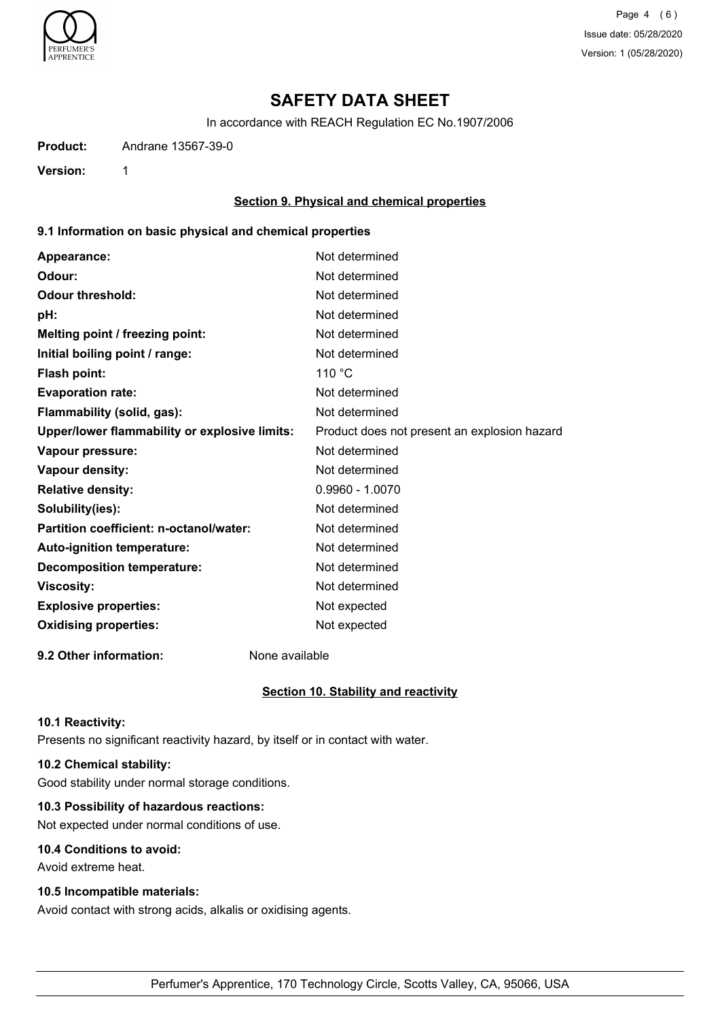

Page 4 (6) Issue date: 05/28/2020 Version: 1 (05/28/2020)

# **SAFETY DATA SHEET**

In accordance with REACH Regulation EC No.1907/2006

**Product:** Andrane 13567-39-0

**Version:** 1

## **Section 9. Physical and chemical properties**

## **9.1 Information on basic physical and chemical properties**

| Appearance:                                   | Not determined                               |
|-----------------------------------------------|----------------------------------------------|
| Odour:                                        | Not determined                               |
| <b>Odour threshold:</b>                       | Not determined                               |
| pH:                                           | Not determined                               |
| Melting point / freezing point:               | Not determined                               |
| Initial boiling point / range:                | Not determined                               |
| <b>Flash point:</b>                           | 110 °C                                       |
| <b>Evaporation rate:</b>                      | Not determined                               |
| Flammability (solid, gas):                    | Not determined                               |
| Upper/lower flammability or explosive limits: | Product does not present an explosion hazard |
| Vapour pressure:                              | Not determined                               |
| Vapour density:                               | Not determined                               |
| <b>Relative density:</b>                      | $0.9960 - 1.0070$                            |
| Solubility(ies):                              | Not determined                               |
| Partition coefficient: n-octanol/water:       | Not determined                               |
| Auto-ignition temperature:                    | Not determined                               |
| <b>Decomposition temperature:</b>             | Not determined                               |
| <b>Viscosity:</b>                             | Not determined                               |
| <b>Explosive properties:</b>                  | Not expected                                 |
| <b>Oxidising properties:</b>                  | Not expected                                 |
|                                               |                                              |

**9.2 Other information:** None available

## **Section 10. Stability and reactivity**

#### **10.1 Reactivity:**

Presents no significant reactivity hazard, by itself or in contact with water.

## **10.2 Chemical stability:**

Good stability under normal storage conditions.

## **10.3 Possibility of hazardous reactions:**

Not expected under normal conditions of use.

## **10.4 Conditions to avoid:**

Avoid extreme heat.

## **10.5 Incompatible materials:**

Avoid contact with strong acids, alkalis or oxidising agents.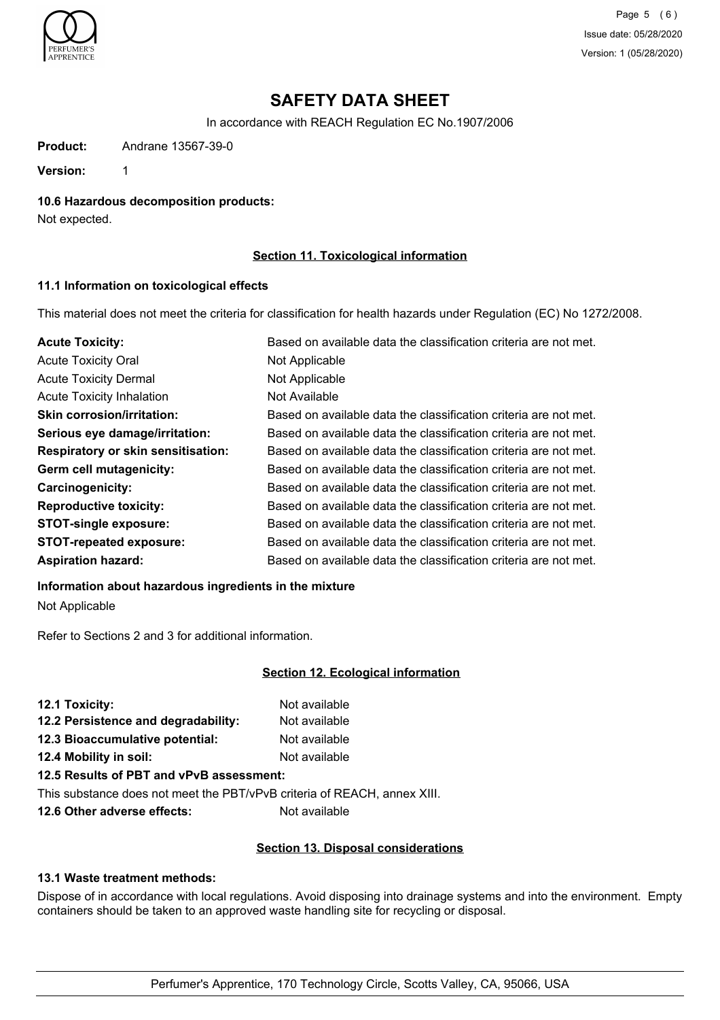

Page 5 (6) Issue date: 05/28/2020 Version: 1 (05/28/2020)

# **SAFETY DATA SHEET**

In accordance with REACH Regulation EC No.1907/2006

**Product:** Andrane 13567-39-0

**Version:** 1

**10.6 Hazardous decomposition products:**

Not expected.

## **Section 11. Toxicological information**

#### **11.1 Information on toxicological effects**

This material does not meet the criteria for classification for health hazards under Regulation (EC) No 1272/2008.

| <b>Acute Toxicity:</b>                    | Based on available data the classification criteria are not met. |
|-------------------------------------------|------------------------------------------------------------------|
| <b>Acute Toxicity Oral</b>                | Not Applicable                                                   |
| <b>Acute Toxicity Dermal</b>              | Not Applicable                                                   |
| <b>Acute Toxicity Inhalation</b>          | Not Available                                                    |
| <b>Skin corrosion/irritation:</b>         | Based on available data the classification criteria are not met. |
| Serious eye damage/irritation:            | Based on available data the classification criteria are not met. |
| <b>Respiratory or skin sensitisation:</b> | Based on available data the classification criteria are not met. |
| Germ cell mutagenicity:                   | Based on available data the classification criteria are not met. |
| <b>Carcinogenicity:</b>                   | Based on available data the classification criteria are not met. |
| <b>Reproductive toxicity:</b>             | Based on available data the classification criteria are not met. |
| <b>STOT-single exposure:</b>              | Based on available data the classification criteria are not met. |
| <b>STOT-repeated exposure:</b>            | Based on available data the classification criteria are not met. |
| <b>Aspiration hazard:</b>                 | Based on available data the classification criteria are not met. |

#### **Information about hazardous ingredients in the mixture**

Not Applicable

Refer to Sections 2 and 3 for additional information.

## **Section 12. Ecological information**

| 12.1 Toxicity:                      | Not available |
|-------------------------------------|---------------|
| 12.2 Persistence and degradability: | Not available |
| 12.3 Bioaccumulative potential:     | Not available |
| 12.4 Mobility in soil:              | Not available |
|                                     |               |

## **12.5 Results of PBT and vPvB assessment:**

This substance does not meet the PBT/vPvB criteria of REACH, annex XIII.

**12.6 Other adverse effects:** Not available

## **Section 13. Disposal considerations**

## **13.1 Waste treatment methods:**

Dispose of in accordance with local regulations. Avoid disposing into drainage systems and into the environment. Empty containers should be taken to an approved waste handling site for recycling or disposal.